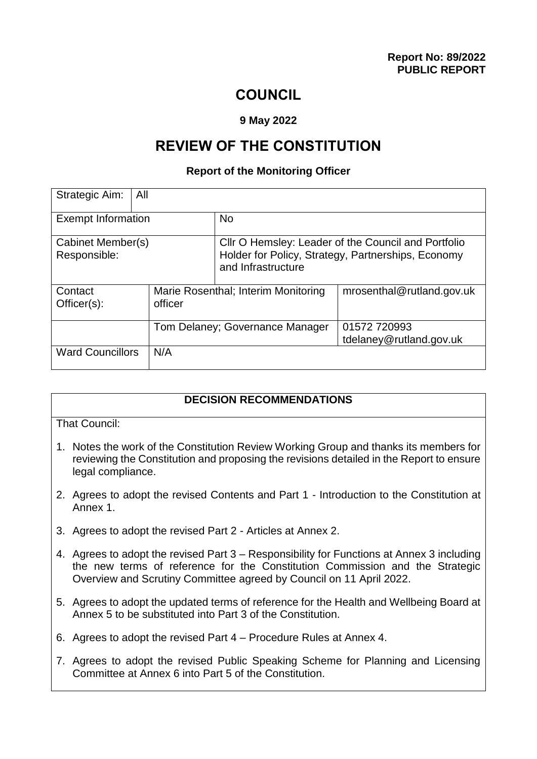# **COUNCIL**

#### **9 May 2022**

# **REVIEW OF THE CONSTITUTION**

#### **Report of the Monitoring Officer**

| Strategic Aim:<br>All             |                                                |                                                                                                                                 |                                         |  |
|-----------------------------------|------------------------------------------------|---------------------------------------------------------------------------------------------------------------------------------|-----------------------------------------|--|
| <b>Exempt Information</b>         |                                                | <b>No</b>                                                                                                                       |                                         |  |
| Cabinet Member(s)<br>Responsible: |                                                | Cllr O Hemsley: Leader of the Council and Portfolio<br>Holder for Policy, Strategy, Partnerships, Economy<br>and Infrastructure |                                         |  |
| Contact<br>$Officer(s)$ :         | Marie Rosenthal; Interim Monitoring<br>officer |                                                                                                                                 | mrosenthal@rutland.gov.uk               |  |
|                                   | Tom Delaney; Governance Manager                |                                                                                                                                 | 01572 720993<br>tdelaney@rutland.gov.uk |  |
| <b>Ward Councillors</b>           | N/A                                            |                                                                                                                                 |                                         |  |

#### **DECISION RECOMMENDATIONS**

That Council:

- 1. Notes the work of the Constitution Review Working Group and thanks its members for reviewing the Constitution and proposing the revisions detailed in the Report to ensure legal compliance.
- 2. Agrees to adopt the revised Contents and Part 1 Introduction to the Constitution at Annex 1.
- 3. Agrees to adopt the revised Part 2 Articles at Annex 2.
- 4. Agrees to adopt the revised Part 3 Responsibility for Functions at Annex 3 including the new terms of reference for the Constitution Commission and the Strategic Overview and Scrutiny Committee agreed by Council on 11 April 2022.
- 5. Agrees to adopt the updated terms of reference for the Health and Wellbeing Board at Annex 5 to be substituted into Part 3 of the Constitution.
- 6. Agrees to adopt the revised Part 4 Procedure Rules at Annex 4.
- 7. Agrees to adopt the revised Public Speaking Scheme for Planning and Licensing Committee at Annex 6 into Part 5 of the Constitution.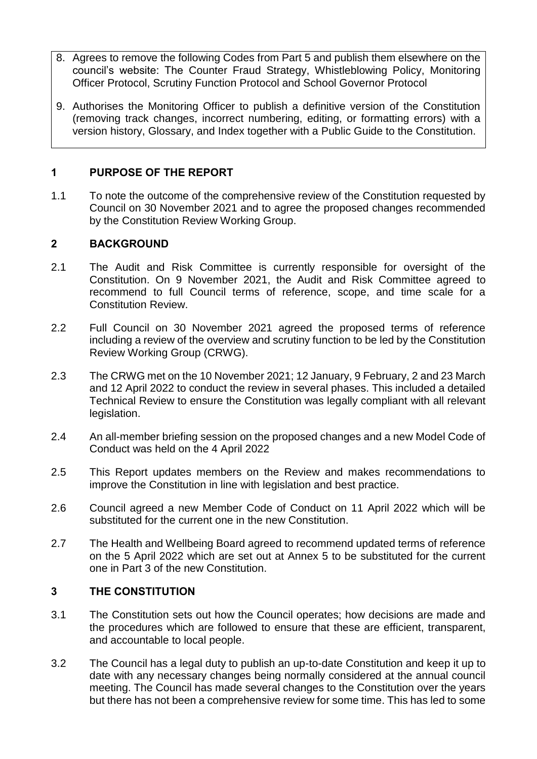- 8. Agrees to remove the following Codes from Part 5 and publish them elsewhere on the council's website: The Counter Fraud Strategy, Whistleblowing Policy, Monitoring Officer Protocol, Scrutiny Function Protocol and School Governor Protocol
- 9. Authorises the Monitoring Officer to publish a definitive version of the Constitution (removing track changes, incorrect numbering, editing, or formatting errors) with a version history, Glossary, and Index together with a Public Guide to the Constitution.

## **1 PURPOSE OF THE REPORT**

1.1 To note the outcome of the comprehensive review of the Constitution requested by Council on 30 November 2021 and to agree the proposed changes recommended by the Constitution Review Working Group.

# **2 BACKGROUND**

- 2.1 The Audit and Risk Committee is currently responsible for oversight of the Constitution. On 9 November 2021, the Audit and Risk Committee agreed to recommend to full Council terms of reference, scope, and time scale for a Constitution Review.
- 2.2 Full Council on 30 November 2021 agreed the proposed terms of reference including a review of the overview and scrutiny function to be led by the Constitution Review Working Group (CRWG).
- 2.3 The CRWG met on the 10 November 2021; 12 January, 9 February, 2 and 23 March and 12 April 2022 to conduct the review in several phases. This included a detailed Technical Review to ensure the Constitution was legally compliant with all relevant legislation.
- 2.4 An all-member briefing session on the proposed changes and a new Model Code of Conduct was held on the 4 April 2022
- 2.5 This Report updates members on the Review and makes recommendations to improve the Constitution in line with legislation and best practice.
- 2.6 Council agreed a new Member Code of Conduct on 11 April 2022 which will be substituted for the current one in the new Constitution.
- 2.7 The Health and Wellbeing Board agreed to recommend updated terms of reference on the 5 April 2022 which are set out at Annex 5 to be substituted for the current one in Part 3 of the new Constitution.

## **3 THE CONSTITUTION**

- 3.1 The Constitution sets out how the Council operates; how decisions are made and the procedures which are followed to ensure that these are efficient, transparent, and accountable to local people.
- 3.2 The Council has a legal duty to publish an up-to-date Constitution and keep it up to date with any necessary changes being normally considered at the annual council meeting. The Council has made several changes to the Constitution over the years but there has not been a comprehensive review for some time. This has led to some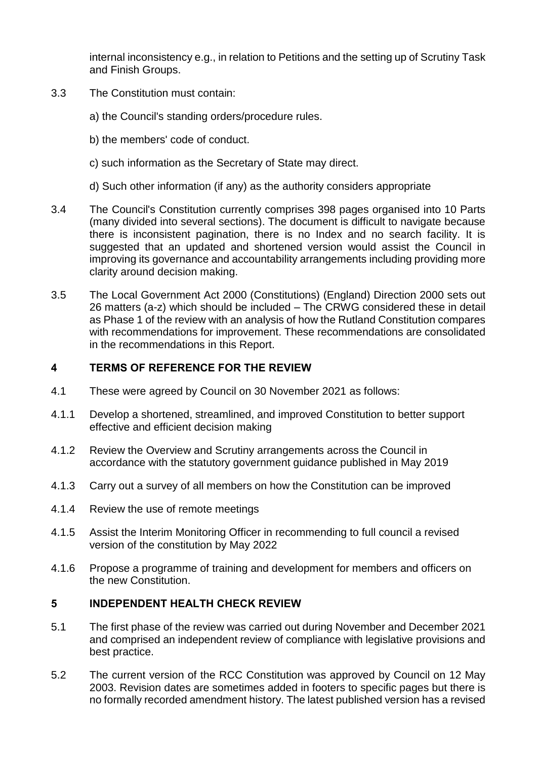internal inconsistency e.g., in relation to Petitions and the setting up of Scrutiny Task and Finish Groups.

- 3.3 The Constitution must contain:
	- a) the Council's standing orders/procedure rules.
	- b) the members' code of conduct.
	- c) such information as the Secretary of State may direct.
	- d) Such other information (if any) as the authority considers appropriate
- 3.4 The Council's Constitution currently comprises 398 pages organised into 10 Parts (many divided into several sections). The document is difficult to navigate because there is inconsistent pagination, there is no Index and no search facility. It is suggested that an updated and shortened version would assist the Council in improving its governance and accountability arrangements including providing more clarity around decision making.
- 3.5 The Local Government Act 2000 (Constitutions) (England) Direction 2000 sets out 26 matters (a-z) which should be included – The CRWG considered these in detail as Phase 1 of the review with an analysis of how the Rutland Constitution compares with recommendations for improvement. These recommendations are consolidated in the recommendations in this Report.

#### **4 TERMS OF REFERENCE FOR THE REVIEW**

- 4.1 These were agreed by Council on 30 November 2021 as follows:
- 4.1.1 Develop a shortened, streamlined, and improved Constitution to better support effective and efficient decision making
- 4.1.2 Review the Overview and Scrutiny arrangements across the Council in accordance with the statutory government guidance published in May 2019
- 4.1.3 Carry out a survey of all members on how the Constitution can be improved
- 4.1.4 Review the use of remote meetings
- 4.1.5 Assist the Interim Monitoring Officer in recommending to full council a revised version of the constitution by May 2022
- 4.1.6 Propose a programme of training and development for members and officers on the new Constitution.

#### **5 INDEPENDENT HEALTH CHECK REVIEW**

- 5.1 The first phase of the review was carried out during November and December 2021 and comprised an independent review of compliance with legislative provisions and best practice.
- 5.2 The current version of the RCC Constitution was approved by Council on 12 May 2003. Revision dates are sometimes added in footers to specific pages but there is no formally recorded amendment history. The latest published version has a revised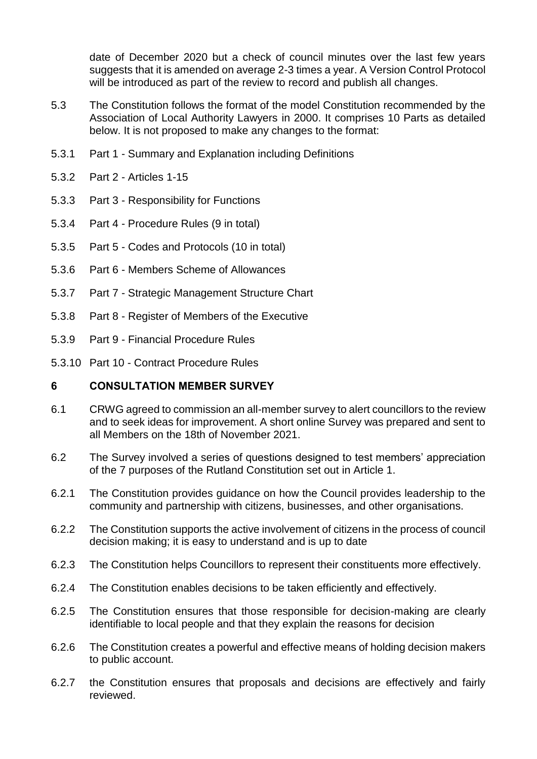date of December 2020 but a check of council minutes over the last few years suggests that it is amended on average 2-3 times a year. A Version Control Protocol will be introduced as part of the review to record and publish all changes.

- 5.3 The Constitution follows the format of the model Constitution recommended by the Association of Local Authority Lawyers in 2000. It comprises 10 Parts as detailed below. It is not proposed to make any changes to the format:
- 5.3.1 Part 1 Summary and Explanation including Definitions
- 5.3.2 Part 2 Articles 1-15
- 5.3.3 Part 3 Responsibility for Functions
- 5.3.4 Part 4 Procedure Rules (9 in total)
- 5.3.5 Part 5 Codes and Protocols (10 in total)
- 5.3.6 Part 6 Members Scheme of Allowances
- 5.3.7 Part 7 Strategic Management Structure Chart
- 5.3.8 Part 8 Register of Members of the Executive
- 5.3.9 Part 9 Financial Procedure Rules
- 5.3.10 Part 10 Contract Procedure Rules

#### **6 CONSULTATION MEMBER SURVEY**

- 6.1 CRWG agreed to commission an all-member survey to alert councillors to the review and to seek ideas for improvement. A short online Survey was prepared and sent to all Members on the 18th of November 2021.
- 6.2 The Survey involved a series of questions designed to test members' appreciation of the 7 purposes of the Rutland Constitution set out in Article 1.
- 6.2.1 The Constitution provides guidance on how the Council provides leadership to the community and partnership with citizens, businesses, and other organisations.
- 6.2.2 The Constitution supports the active involvement of citizens in the process of council decision making; it is easy to understand and is up to date
- 6.2.3 The Constitution helps Councillors to represent their constituents more effectively.
- 6.2.4 The Constitution enables decisions to be taken efficiently and effectively.
- 6.2.5 The Constitution ensures that those responsible for decision-making are clearly identifiable to local people and that they explain the reasons for decision
- 6.2.6 The Constitution creates a powerful and effective means of holding decision makers to public account.
- 6.2.7 the Constitution ensures that proposals and decisions are effectively and fairly reviewed.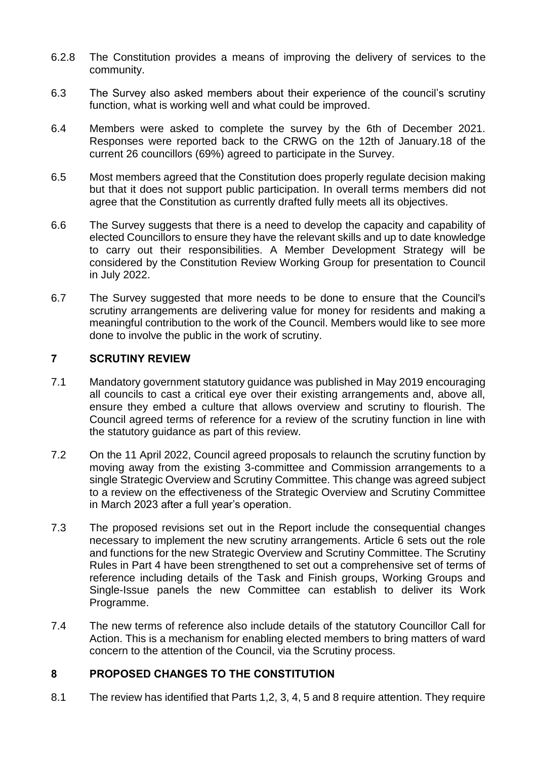- 6.2.8 The Constitution provides a means of improving the delivery of services to the community.
- 6.3 The Survey also asked members about their experience of the council's scrutiny function, what is working well and what could be improved.
- 6.4 Members were asked to complete the survey by the 6th of December 2021. Responses were reported back to the CRWG on the 12th of January.18 of the current 26 councillors (69%) agreed to participate in the Survey.
- 6.5 Most members agreed that the Constitution does properly regulate decision making but that it does not support public participation. In overall terms members did not agree that the Constitution as currently drafted fully meets all its objectives.
- 6.6 The Survey suggests that there is a need to develop the capacity and capability of elected Councillors to ensure they have the relevant skills and up to date knowledge to carry out their responsibilities. A Member Development Strategy will be considered by the Constitution Review Working Group for presentation to Council in July 2022.
- 6.7 The Survey suggested that more needs to be done to ensure that the Council's scrutiny arrangements are delivering value for money for residents and making a meaningful contribution to the work of the Council. Members would like to see more done to involve the public in the work of scrutiny.

#### **7 SCRUTINY REVIEW**

- 7.1 Mandatory government statutory guidance was published in May 2019 encouraging all councils to cast a critical eye over their existing arrangements and, above all, ensure they embed a culture that allows overview and scrutiny to flourish. The Council agreed terms of reference for a review of the scrutiny function in line with the statutory guidance as part of this review.
- 7.2 On the 11 April 2022, Council agreed proposals to relaunch the scrutiny function by moving away from the existing 3-committee and Commission arrangements to a single Strategic Overview and Scrutiny Committee. This change was agreed subject to a review on the effectiveness of the Strategic Overview and Scrutiny Committee in March 2023 after a full year's operation.
- 7.3 The proposed revisions set out in the Report include the consequential changes necessary to implement the new scrutiny arrangements. Article 6 sets out the role and functions for the new Strategic Overview and Scrutiny Committee. The Scrutiny Rules in Part 4 have been strengthened to set out a comprehensive set of terms of reference including details of the Task and Finish groups, Working Groups and Single-Issue panels the new Committee can establish to deliver its Work Programme.
- 7.4 The new terms of reference also include details of the statutory Councillor Call for Action. This is a mechanism for enabling elected members to bring matters of ward concern to the attention of the Council, via the Scrutiny process.

## **8 PROPOSED CHANGES TO THE CONSTITUTION**

8.1 The review has identified that Parts 1,2, 3, 4, 5 and 8 require attention. They require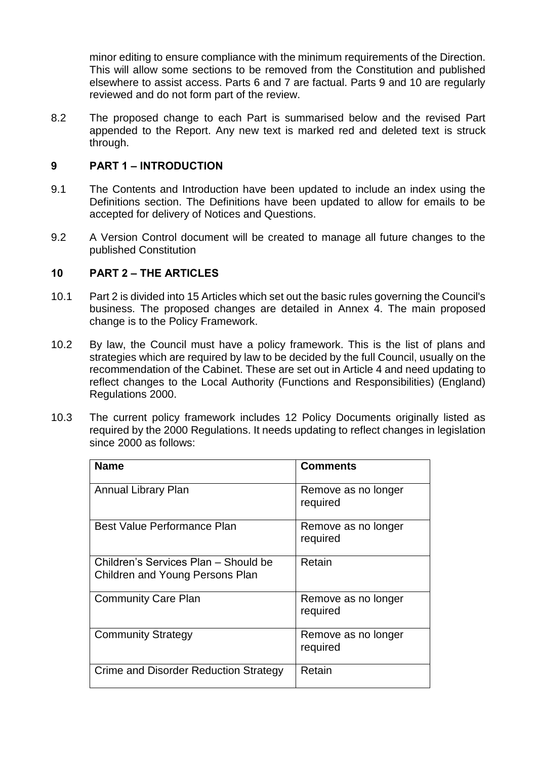minor editing to ensure compliance with the minimum requirements of the Direction. This will allow some sections to be removed from the Constitution and published elsewhere to assist access. Parts 6 and 7 are factual. Parts 9 and 10 are regularly reviewed and do not form part of the review.

8.2 The proposed change to each Part is summarised below and the revised Part appended to the Report. Any new text is marked red and deleted text is struck through.

### **9 PART 1 – INTRODUCTION**

- 9.1 The Contents and Introduction have been updated to include an index using the Definitions section. The Definitions have been updated to allow for emails to be accepted for delivery of Notices and Questions.
- 9.2 A Version Control document will be created to manage all future changes to the published Constitution

#### **10 PART 2 – THE ARTICLES**

- 10.1 Part 2 is divided into 15 Articles which set out the basic rules governing the Council's business. The proposed changes are detailed in Annex 4. The main proposed change is to the Policy Framework.
- 10.2 By law, the Council must have a policy framework. This is the list of plans and strategies which are required by law to be decided by the full Council, usually on the recommendation of the Cabinet. These are set out in Article 4 and need updating to reflect changes to the Local Authority (Functions and Responsibilities) (England) Regulations 2000.
- 10.3 The current policy framework includes 12 Policy Documents originally listed as required by the 2000 Regulations. It needs updating to reflect changes in legislation since 2000 as follows:

| <b>Name</b>                                                             | <b>Comments</b>                 |
|-------------------------------------------------------------------------|---------------------------------|
| <b>Annual Library Plan</b>                                              | Remove as no longer<br>required |
| Best Value Performance Plan                                             | Remove as no longer<br>required |
| Children's Services Plan - Should be<br>Children and Young Persons Plan | Retain                          |
| <b>Community Care Plan</b>                                              | Remove as no longer<br>required |
| <b>Community Strategy</b>                                               | Remove as no longer<br>required |
| Crime and Disorder Reduction Strategy                                   | Retain                          |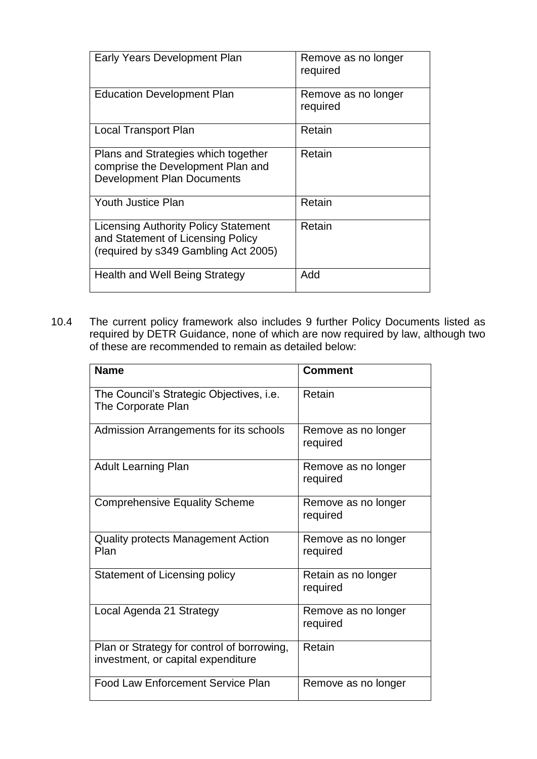| Early Years Development Plan                                                                                             | Remove as no longer<br>required |
|--------------------------------------------------------------------------------------------------------------------------|---------------------------------|
| <b>Education Development Plan</b>                                                                                        | Remove as no longer<br>required |
| <b>Local Transport Plan</b>                                                                                              | Retain                          |
| Plans and Strategies which together<br>comprise the Development Plan and<br><b>Development Plan Documents</b>            | Retain                          |
| Youth Justice Plan                                                                                                       | Retain                          |
| <b>Licensing Authority Policy Statement</b><br>and Statement of Licensing Policy<br>(required by s349 Gambling Act 2005) | Retain                          |
| Health and Well Being Strategy                                                                                           | Add                             |

10.4 The current policy framework also includes 9 further Policy Documents listed as required by DETR Guidance, none of which are now required by law, although two of these are recommended to remain as detailed below:

| <b>Name</b>                                                                      | <b>Comment</b>                  |
|----------------------------------------------------------------------------------|---------------------------------|
|                                                                                  |                                 |
| The Council's Strategic Objectives, i.e.<br>The Corporate Plan                   | Retain                          |
| Admission Arrangements for its schools                                           | Remove as no longer<br>required |
| <b>Adult Learning Plan</b>                                                       | Remove as no longer<br>required |
| <b>Comprehensive Equality Scheme</b>                                             | Remove as no longer<br>required |
| Quality protects Management Action<br>Plan                                       | Remove as no longer<br>required |
| <b>Statement of Licensing policy</b>                                             | Retain as no longer<br>required |
| Local Agenda 21 Strategy                                                         | Remove as no longer<br>required |
| Plan or Strategy for control of borrowing,<br>investment, or capital expenditure | Retain                          |
| <b>Food Law Enforcement Service Plan</b>                                         | Remove as no longer             |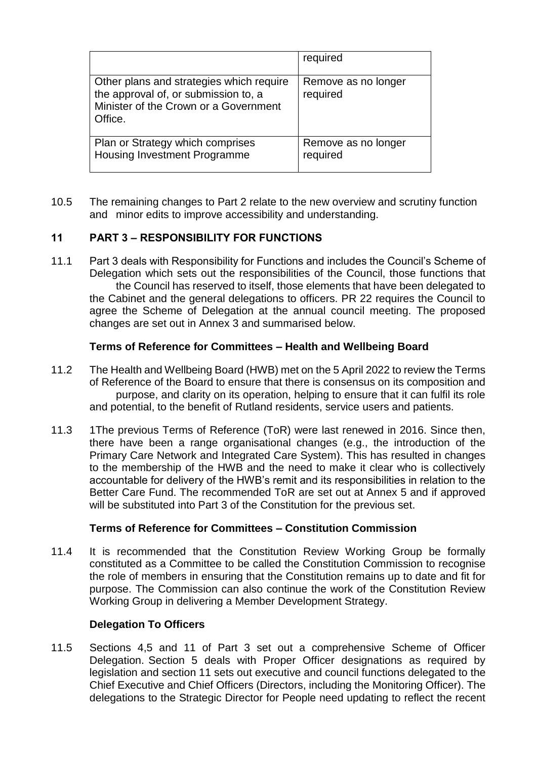|                                                                                                                                      | required                        |
|--------------------------------------------------------------------------------------------------------------------------------------|---------------------------------|
| Other plans and strategies which require<br>the approval of, or submission to, a<br>Minister of the Crown or a Government<br>Office. | Remove as no longer<br>required |
| Plan or Strategy which comprises<br>Housing Investment Programme                                                                     | Remove as no longer<br>required |

10.5 The remaining changes to Part 2 relate to the new overview and scrutiny function and minor edits to improve accessibility and understanding.

## **11 PART 3 – RESPONSIBILITY FOR FUNCTIONS**

11.1 Part 3 deals with Responsibility for Functions and includes the Council's Scheme of Delegation which sets out the responsibilities of the Council, those functions that the Council has reserved to itself, those elements that have been delegated to the Cabinet and the general delegations to officers. PR 22 requires the Council to agree the Scheme of Delegation at the annual council meeting. The proposed changes are set out in Annex 3 and summarised below.

#### **Terms of Reference for Committees – Health and Wellbeing Board**

- 11.2 The Health and Wellbeing Board (HWB) met on the 5 April 2022 to review the Terms of Reference of the Board to ensure that there is consensus on its composition and purpose, and clarity on its operation, helping to ensure that it can fulfil its role and potential, to the benefit of Rutland residents, service users and patients.
- 11.3 1The previous Terms of Reference (ToR) were last renewed in 2016. Since then, there have been a range organisational changes (e.g., the introduction of the Primary Care Network and Integrated Care System). This has resulted in changes to the membership of the HWB and the need to make it clear who is collectively accountable for delivery of the HWB's remit and its responsibilities in relation to the Better Care Fund. The recommended ToR are set out at Annex 5 and if approved will be substituted into Part 3 of the Constitution for the previous set.

## **Terms of Reference for Committees – Constitution Commission**

11.4 It is recommended that the Constitution Review Working Group be formally constituted as a Committee to be called the Constitution Commission to recognise the role of members in ensuring that the Constitution remains up to date and fit for purpose. The Commission can also continue the work of the Constitution Review Working Group in delivering a Member Development Strategy.

#### **Delegation To Officers**

11.5 Sections 4,5 and 11 of Part 3 set out a comprehensive Scheme of Officer Delegation. Section 5 deals with Proper Officer designations as required by legislation and section 11 sets out executive and council functions delegated to the Chief Executive and Chief Officers (Directors, including the Monitoring Officer). The delegations to the Strategic Director for People need updating to reflect the recent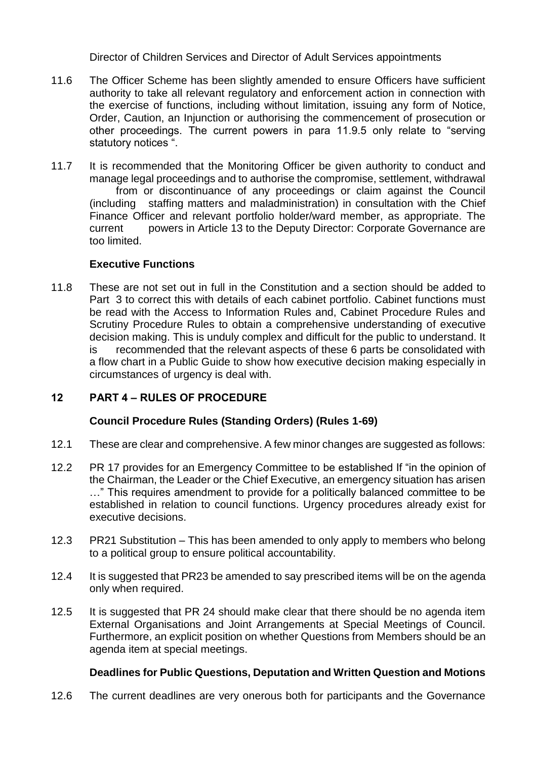Director of Children Services and Director of Adult Services appointments

- 11.6 The Officer Scheme has been slightly amended to ensure Officers have sufficient authority to take all relevant regulatory and enforcement action in connection with the exercise of functions, including without limitation, issuing any form of Notice, Order, Caution, an Injunction or authorising the commencement of prosecution or other proceedings. The current powers in para 11.9.5 only relate to "serving statutory notices ".
- 11.7 It is recommended that the Monitoring Officer be given authority to conduct and manage legal proceedings and to authorise the compromise, settlement, withdrawal from or discontinuance of any proceedings or claim against the Council (including staffing matters and maladministration) in consultation with the Chief Finance Officer and relevant portfolio holder/ward member, as appropriate. The current powers in Article 13 to the Deputy Director: Corporate Governance are too limited.

# **Executive Functions**

11.8 These are not set out in full in the Constitution and a section should be added to Part 3 to correct this with details of each cabinet portfolio. Cabinet functions must be read with the Access to Information Rules and, Cabinet Procedure Rules and Scrutiny Procedure Rules to obtain a comprehensive understanding of executive decision making. This is unduly complex and difficult for the public to understand. It is recommended that the relevant aspects of these 6 parts be consolidated with a flow chart in a Public Guide to show how executive decision making especially in circumstances of urgency is deal with.

# **12 PART 4 – RULES OF PROCEDURE**

## **Council Procedure Rules (Standing Orders) (Rules 1-69)**

- 12.1 These are clear and comprehensive. A few minor changes are suggested as follows:
- 12.2 PR 17 provides for an Emergency Committee to be established If "in the opinion of the Chairman, the Leader or the Chief Executive, an emergency situation has arisen …" This requires amendment to provide for a politically balanced committee to be established in relation to council functions. Urgency procedures already exist for executive decisions.
- 12.3 PR21 Substitution This has been amended to only apply to members who belong to a political group to ensure political accountability.
- 12.4 It is suggested that PR23 be amended to say prescribed items will be on the agenda only when required.
- 12.5 It is suggested that PR 24 should make clear that there should be no agenda item External Organisations and Joint Arrangements at Special Meetings of Council. Furthermore, an explicit position on whether Questions from Members should be an agenda item at special meetings.

## **Deadlines for Public Questions, Deputation and Written Question and Motions**

12.6 The current deadlines are very onerous both for participants and the Governance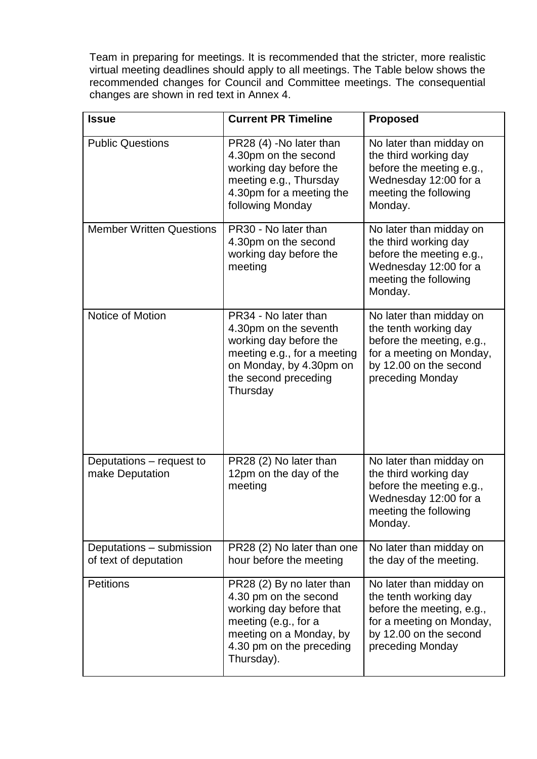Team in preparing for meetings. It is recommended that the stricter, more realistic virtual meeting deadlines should apply to all meetings. The Table below shows the recommended changes for Council and Committee meetings. The consequential changes are shown in red text in Annex 4.

| <b>Issue</b>                                      | <b>Current PR Timeline</b>                                                                                                                                                 | <b>Proposed</b>                                                                                                                                         |
|---------------------------------------------------|----------------------------------------------------------------------------------------------------------------------------------------------------------------------------|---------------------------------------------------------------------------------------------------------------------------------------------------------|
| <b>Public Questions</b>                           | PR28 (4) -No later than<br>4.30pm on the second<br>working day before the<br>meeting e.g., Thursday<br>4.30pm for a meeting the<br>following Monday                        | No later than midday on<br>the third working day<br>before the meeting e.g.,<br>Wednesday 12:00 for a<br>meeting the following<br>Monday.               |
| <b>Member Written Questions</b>                   | PR30 - No later than<br>4.30pm on the second<br>working day before the<br>meeting                                                                                          | No later than midday on<br>the third working day<br>before the meeting e.g.,<br>Wednesday 12:00 for a<br>meeting the following<br>Monday.               |
| Notice of Motion                                  | PR34 - No later than<br>4.30pm on the seventh<br>working day before the<br>meeting e.g., for a meeting<br>on Monday, by 4.30pm on<br>the second preceding<br>Thursday      | No later than midday on<br>the tenth working day<br>before the meeting, e.g.,<br>for a meeting on Monday,<br>by 12.00 on the second<br>preceding Monday |
| Deputations – request to<br>make Deputation       | PR28 (2) No later than<br>12pm on the day of the<br>meeting                                                                                                                | No later than midday on<br>the third working day<br>before the meeting e.g.,<br>Wednesday 12:00 for a<br>meeting the following<br>Monday.               |
| Deputations - submission<br>of text of deputation | PR28 (2) No later than one<br>hour before the meeting                                                                                                                      | No later than midday on<br>the day of the meeting.                                                                                                      |
| <b>Petitions</b>                                  | PR28 (2) By no later than<br>4.30 pm on the second<br>working day before that<br>meeting (e.g., for a<br>meeting on a Monday, by<br>4.30 pm on the preceding<br>Thursday). | No later than midday on<br>the tenth working day<br>before the meeting, e.g.,<br>for a meeting on Monday,<br>by 12.00 on the second<br>preceding Monday |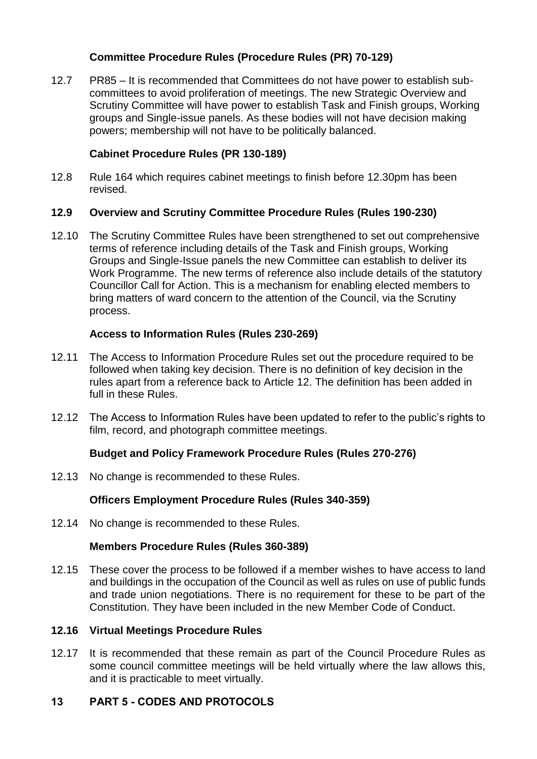## **Committee Procedure Rules (Procedure Rules (PR) 70-129)**

12.7 PR85 – It is recommended that Committees do not have power to establish subcommittees to avoid proliferation of meetings. The new Strategic Overview and Scrutiny Committee will have power to establish Task and Finish groups, Working groups and Single-issue panels. As these bodies will not have decision making powers; membership will not have to be politically balanced.

# **Cabinet Procedure Rules (PR 130-189)**

12.8 Rule 164 which requires cabinet meetings to finish before 12.30pm has been revised.

## **12.9 Overview and Scrutiny Committee Procedure Rules (Rules 190-230)**

12.10 The Scrutiny Committee Rules have been strengthened to set out comprehensive terms of reference including details of the Task and Finish groups, Working Groups and Single-Issue panels the new Committee can establish to deliver its Work Programme. The new terms of reference also include details of the statutory Councillor Call for Action. This is a mechanism for enabling elected members to bring matters of ward concern to the attention of the Council, via the Scrutiny process.

## **Access to Information Rules (Rules 230-269)**

- 12.11 The Access to Information Procedure Rules set out the procedure required to be followed when taking key decision. There is no definition of key decision in the rules apart from a reference back to Article 12. The definition has been added in full in these Rules.
- 12.12 The Access to Information Rules have been updated to refer to the public's rights to film, record, and photograph committee meetings.

# **Budget and Policy Framework Procedure Rules (Rules 270-276)**

12.13 No change is recommended to these Rules.

## **Officers Employment Procedure Rules (Rules 340-359)**

12.14 No change is recommended to these Rules.

## **Members Procedure Rules (Rules 360-389)**

12.15 These cover the process to be followed if a member wishes to have access to land and buildings in the occupation of the Council as well as rules on use of public funds and trade union negotiations. There is no requirement for these to be part of the Constitution. They have been included in the new Member Code of Conduct.

## **12.16 Virtual Meetings Procedure Rules**

12.17 It is recommended that these remain as part of the Council Procedure Rules as some council committee meetings will be held virtually where the law allows this, and it is practicable to meet virtually.

# **13 PART 5 - CODES AND PROTOCOLS**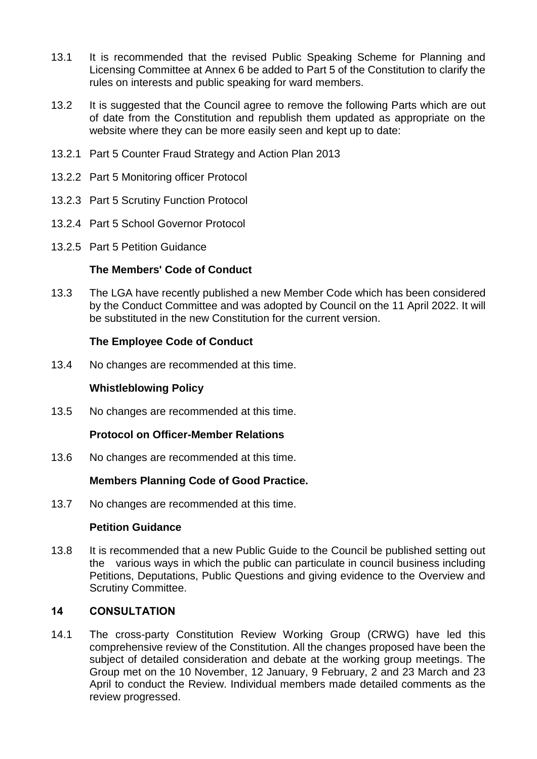- 13.1 It is recommended that the revised Public Speaking Scheme for Planning and Licensing Committee at Annex 6 be added to Part 5 of the Constitution to clarify the rules on interests and public speaking for ward members.
- 13.2 It is suggested that the Council agree to remove the following Parts which are out of date from the Constitution and republish them updated as appropriate on the website where they can be more easily seen and kept up to date:
- 13.2.1 Part 5 Counter Fraud Strategy and Action Plan 2013
- 13.2.2 Part 5 Monitoring officer Protocol
- 13.2.3 Part 5 Scrutiny Function Protocol
- 13.2.4 Part 5 School Governor Protocol
- 13.2.5 Part 5 Petition Guidance

#### **The Members' Code of Conduct**

13.3 The LGA have recently published a new Member Code which has been considered by the Conduct Committee and was adopted by Council on the 11 April 2022. It will be substituted in the new Constitution for the current version.

#### **The Employee Code of Conduct**

13.4 No changes are recommended at this time.

#### **Whistleblowing Policy**

13.5 No changes are recommended at this time.

#### **Protocol on Officer-Member Relations**

13.6 No changes are recommended at this time.

#### **Members Planning Code of Good Practice.**

13.7 No changes are recommended at this time.

#### **Petition Guidance**

13.8 It is recommended that a new Public Guide to the Council be published setting out the various ways in which the public can particulate in council business including Petitions, Deputations, Public Questions and giving evidence to the Overview and Scrutiny Committee.

#### **14 CONSULTATION**

14.1 The cross-party Constitution Review Working Group (CRWG) have led this comprehensive review of the Constitution. All the changes proposed have been the subject of detailed consideration and debate at the working group meetings. The Group met on the 10 November, 12 January, 9 February, 2 and 23 March and 23 April to conduct the Review. Individual members made detailed comments as the review progressed.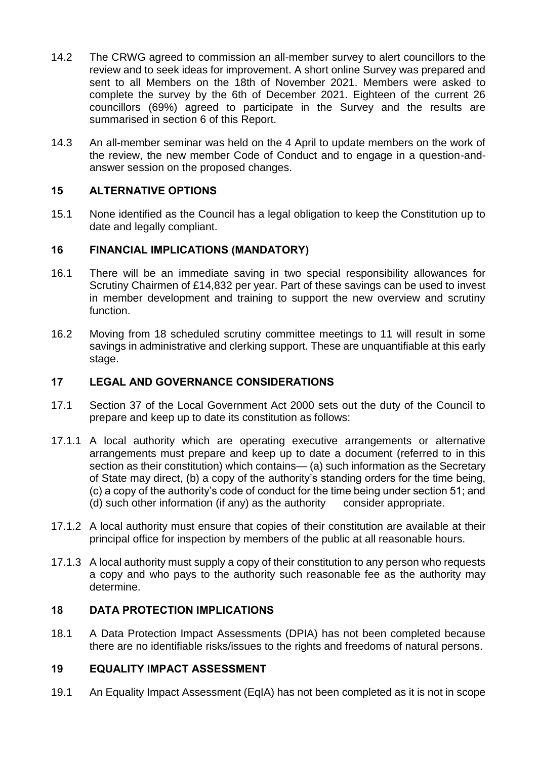- 14.2 The CRWG agreed to commission an all-member survey to alert councillors to the review and to seek ideas for improvement. A short online Survey was prepared and sent to all Members on the 18th of November 2021. Members were asked to complete the survey by the 6th of December 2021. Eighteen of the current 26 councillors (69%) agreed to participate in the Survey and the results are summarised in section 6 of this Report.
- 14.3 An all-member seminar was held on the 4 April to update members on the work of the review, the new member Code of Conduct and to engage in a question-andanswer session on the proposed changes.

## **15 ALTERNATIVE OPTIONS**

15.1 None identified as the Council has a legal obligation to keep the Constitution up to date and legally compliant.

#### **16 FINANCIAL IMPLICATIONS (MANDATORY)**

- 16.1 There will be an immediate saving in two special responsibility allowances for Scrutiny Chairmen of £14,832 per year. Part of these savings can be used to invest in member development and training to support the new overview and scrutiny function.
- 16.2 Moving from 18 scheduled scrutiny committee meetings to 11 will result in some savings in administrative and clerking support. These are unquantifiable at this early stage.

### **17 LEGAL AND GOVERNANCE CONSIDERATIONS**

- 17.1 Section 37 of the Local Government Act 2000 sets out the duty of the Council to prepare and keep up to date its constitution as follows:
- 17.1.1 A local authority which are operating executive arrangements or alternative arrangements must prepare and keep up to date a document (referred to in this section as their constitution) which contains— (a) such information as the Secretary of State may direct, (b) a copy of the authority's standing orders for the time being, (c) a copy of the authority's code of conduct for the time being under section 51; and (d) such other information (if any) as the authority consider appropriate.
- 17.1.2 A local authority must ensure that copies of their constitution are available at their principal office for inspection by members of the public at all reasonable hours.
- 17.1.3 A local authority must supply a copy of their constitution to any person who requests a copy and who pays to the authority such reasonable fee as the authority may determine.

#### **18 DATA PROTECTION IMPLICATIONS**

18.1 A Data Protection Impact Assessments (DPIA) has not been completed because there are no identifiable risks/issues to the rights and freedoms of natural persons.

## **19 EQUALITY IMPACT ASSESSMENT**

19.1 An Equality Impact Assessment (EqIA) has not been completed as it is not in scope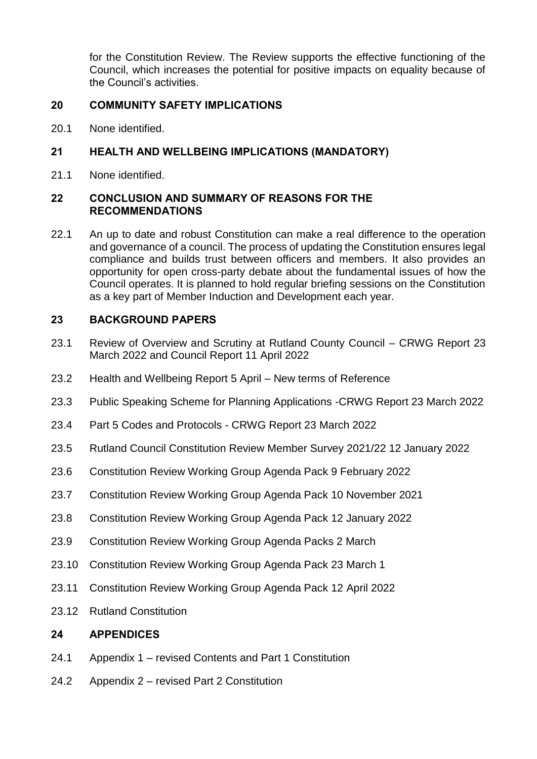for the Constitution Review. The Review supports the effective functioning of the Council, which increases the potential for positive impacts on equality because of the Council's activities.

## **20 COMMUNITY SAFETY IMPLICATIONS**

20.1 None identified.

# **21 HEALTH AND WELLBEING IMPLICATIONS (MANDATORY)**

21.1 None identified.

## **22 CONCLUSION AND SUMMARY OF REASONS FOR THE RECOMMENDATIONS**

22.1 An up to date and robust Constitution can make a real difference to the operation and governance of a council. The process of updating the Constitution ensures legal compliance and builds trust between officers and members. It also provides an opportunity for open cross-party debate about the fundamental issues of how the Council operates. It is planned to hold regular briefing sessions on the Constitution as a key part of Member Induction and Development each year.

# **23 BACKGROUND PAPERS**

- 23.1 Review of Overview and Scrutiny at Rutland County Council CRWG Report 23 March 2022 and Council Report 11 April 2022
- 23.2 Health and Wellbeing Report 5 April New terms of Reference
- 23.3 Public Speaking Scheme for Planning Applications -CRWG Report 23 March 2022
- 23.4 Part 5 Codes and Protocols CRWG Report 23 March 2022
- 23.5 Rutland Council Constitution Review Member Survey 2021/22 12 January 2022
- 23.6 Constitution Review Working Group Agenda Pack 9 February 2022
- 23.7 Constitution Review Working Group Agenda Pack 10 November 2021
- 23.8 Constitution Review Working Group Agenda Pack 12 January 2022
- 23.9 Constitution Review Working Group Agenda Packs 2 March
- 23.10 Constitution Review Working Group Agenda Pack 23 March 1
- 23.11 Constitution Review Working Group Agenda Pack 12 April 2022
- 23.12 Rutland Constitution

## **24 APPENDICES**

- 24.1 Appendix 1 revised Contents and Part 1 Constitution
- 24.2 Appendix 2 revised Part 2 Constitution